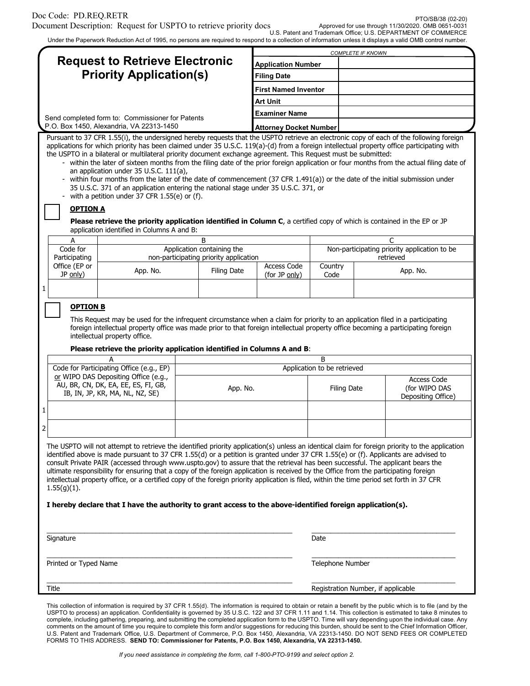U.S. Patent and Trademark Office; U.S. DEPARTMENT OF COMMERCE

|                                                                                                                                                                                                                                                                                                                                                                                                                                                                                                                                                                                                                                                                                                                                                                                                                                                                                                                                                                                                     |                                                                                                 |                                     | <b>COMPLETE IF KNOWN</b>                          |                                                                            |
|-----------------------------------------------------------------------------------------------------------------------------------------------------------------------------------------------------------------------------------------------------------------------------------------------------------------------------------------------------------------------------------------------------------------------------------------------------------------------------------------------------------------------------------------------------------------------------------------------------------------------------------------------------------------------------------------------------------------------------------------------------------------------------------------------------------------------------------------------------------------------------------------------------------------------------------------------------------------------------------------------------|-------------------------------------------------------------------------------------------------|-------------------------------------|---------------------------------------------------|----------------------------------------------------------------------------|
| <b>Request to Retrieve Electronic</b>                                                                                                                                                                                                                                                                                                                                                                                                                                                                                                                                                                                                                                                                                                                                                                                                                                                                                                                                                               |                                                                                                 | <b>Application Number</b>           |                                                   |                                                                            |
| <b>Priority Application(s)</b>                                                                                                                                                                                                                                                                                                                                                                                                                                                                                                                                                                                                                                                                                                                                                                                                                                                                                                                                                                      |                                                                                                 | <b>Filing Date</b>                  |                                                   |                                                                            |
|                                                                                                                                                                                                                                                                                                                                                                                                                                                                                                                                                                                                                                                                                                                                                                                                                                                                                                                                                                                                     |                                                                                                 | <b>First Named Inventor</b>         |                                                   |                                                                            |
|                                                                                                                                                                                                                                                                                                                                                                                                                                                                                                                                                                                                                                                                                                                                                                                                                                                                                                                                                                                                     |                                                                                                 | Art Unit                            |                                                   |                                                                            |
| Send completed form to: Commissioner for Patents<br>P.O. Box 1450, Alexandria, VA 22313-1450                                                                                                                                                                                                                                                                                                                                                                                                                                                                                                                                                                                                                                                                                                                                                                                                                                                                                                        |                                                                                                 | Examiner Name                       |                                                   |                                                                            |
|                                                                                                                                                                                                                                                                                                                                                                                                                                                                                                                                                                                                                                                                                                                                                                                                                                                                                                                                                                                                     |                                                                                                 | <b>Attorney Docket Number</b>       |                                                   |                                                                            |
| applications for which priority has been claimed under 35 U.S.C. 119(a)-(d) from a foreign intellectual property office participating with<br>the USPTO in a bilateral or multilateral priority document exchange agreement. This Request must be submitted:<br>- within the later of sixteen months from the filing date of the prior foreign application or four months from the actual filing date of<br>an application under 35 U.S.C. 111(a),<br>- within four months from the later of the date of commencement (37 CFR 1.491(a)) or the date of the initial submission under<br>35 U.S.C. 371 of an application entering the national stage under 35 U.S.C. 371, or<br>- with a petition under 37 CFR 1.55(e) or (f).<br><b>OPTION A</b><br>Please retrieve the priority application identified in Column C, a certified copy of which is contained in the EP or JP<br>application identified in Columns A and B:<br>A<br>Code for<br>Participating<br>Office (EP or<br>App. No.<br>JP only) | B<br>Application containing the<br>non-participating priority application<br><b>Filing Date</b> | <b>Access Code</b><br>(for JP only) | Country<br>Code                                   | C<br>Non-participating priority application to be<br>retrieved<br>App. No. |
|                                                                                                                                                                                                                                                                                                                                                                                                                                                                                                                                                                                                                                                                                                                                                                                                                                                                                                                                                                                                     |                                                                                                 |                                     |                                                   |                                                                            |
| <b>OPTION B</b><br>This Request may be used for the infrequent circumstance when a claim for priority to an application filed in a participating<br>foreign intellectual property office was made prior to that foreign intellectual property office becoming a participating foreign<br>intellectual property office.<br>Please retrieve the priority application identified in Columns A and B:                                                                                                                                                                                                                                                                                                                                                                                                                                                                                                                                                                                                   |                                                                                                 |                                     |                                                   |                                                                            |
| A                                                                                                                                                                                                                                                                                                                                                                                                                                                                                                                                                                                                                                                                                                                                                                                                                                                                                                                                                                                                   |                                                                                                 |                                     | B                                                 |                                                                            |
| IB, IN, JP, KR, MA, NL, NZ, SE)                                                                                                                                                                                                                                                                                                                                                                                                                                                                                                                                                                                                                                                                                                                                                                                                                                                                                                                                                                     | App. No.                                                                                        |                                     | Application to be retrieved<br><b>Filing Date</b> | Access Code<br>(for WIPO DAS<br>Depositing Office)                         |
|                                                                                                                                                                                                                                                                                                                                                                                                                                                                                                                                                                                                                                                                                                                                                                                                                                                                                                                                                                                                     |                                                                                                 |                                     |                                                   |                                                                            |
| Code for Participating Office (e.g., EP)<br>or WIPO DAS Depositing Office (e.g.,<br>AU, BR, CN, DK, EA, EE, ES, FI, GB,                                                                                                                                                                                                                                                                                                                                                                                                                                                                                                                                                                                                                                                                                                                                                                                                                                                                             |                                                                                                 |                                     |                                                   |                                                                            |
| The USPTO will not attempt to retrieve the identified priority application(s) unless an identical claim for foreign priority to the application<br>identified above is made pursuant to 37 CFR 1.55(d) or a petition is granted under 37 CFR 1.55(e) or (f). Applicants are advised to<br>consult Private PAIR (accessed through www.uspto.gov) to assure that the retrieval has been successful. The applicant bears the<br>ultimate responsibility for ensuring that a copy of the foreign application is received by the Office from the participating foreign<br>intellectual property office, or a certified copy of the foreign priority application is filed, within the time period set forth in 37 CFR<br>$1.55(g)(1)$ .<br>I hereby declare that I have the authority to grant access to the above-identified foreign application(s).                                                                                                                                                     |                                                                                                 |                                     |                                                   |                                                                            |
| Signature                                                                                                                                                                                                                                                                                                                                                                                                                                                                                                                                                                                                                                                                                                                                                                                                                                                                                                                                                                                           |                                                                                                 |                                     | Date                                              |                                                                            |
| Printed or Typed Name                                                                                                                                                                                                                                                                                                                                                                                                                                                                                                                                                                                                                                                                                                                                                                                                                                                                                                                                                                               |                                                                                                 |                                     | Telephone Number                                  |                                                                            |

complete, including gathering, preparing, and submitting the completed application form to the USPTO. Time will vary depending upon the individual case. Any comments on the amount of time you require to complete this form and/or suggestions for reducing this burden, should be sent to the Chief Information Officer, U.S. Patent and Trademark Office, U.S. Department of Commerce, P.O. Box 1450, Alexandria, VA 22313-1450. DO NOT SEND FEES OR COMPLETED FORMS TO THIS ADDRESS. **SEND TO: Commissioner for Patents, P.O. Box 1450, Alexandria, VA 22313-1450.**